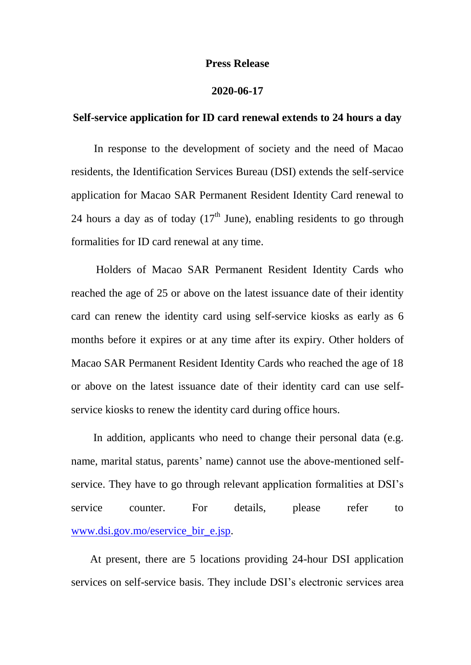## **Press Release**

## **2020-06-17**

## **Self-service application for ID card renewal extends to 24 hours a day**

 In response to the development of society and the need of Macao residents, the Identification Services Bureau (DSI) extends the self-service application for Macao SAR Permanent Resident Identity Card renewal to 24 hours a day as of today  $(17<sup>th</sup>$  June), enabling residents to go through formalities for ID card renewal at any time.

 Holders of Macao SAR Permanent Resident Identity Cards who reached the age of 25 or above on the latest issuance date of their identity card can renew the identity card using self-service kiosks as early as 6 months before it expires or at any time after its expiry. Other holders of Macao SAR Permanent Resident Identity Cards who reached the age of 18 or above on the latest issuance date of their identity card can use selfservice kiosks to renew the identity card during office hours.

In addition, applicants who need to change their personal data (e.g. name, marital status, parents' name) cannot use the above-mentioned selfservice. They have to go through relevant application formalities at DSI's service counter. For details, please refer to [www.dsi.gov.mo/eservice\\_bir\\_e.jsp.](http://www.dsi.gov.mo/eservice_bir_e.jsp)

At present, there are 5 locations providing 24-hour DSI application services on self-service basis. They include DSI's electronic services area